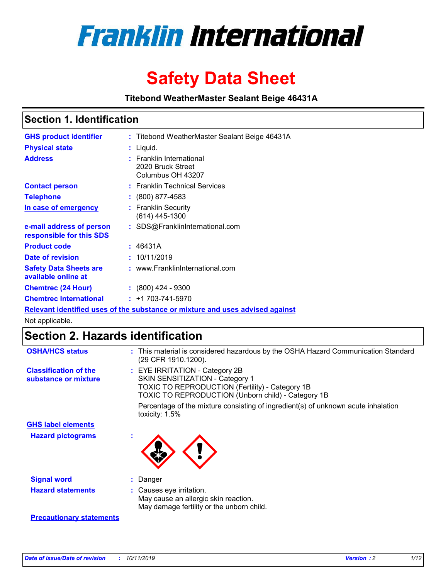

# **Safety Data Sheet**

**Titebond WeatherMaster Sealant Beige 46431A**

### **Section 1. Identification**

| <b>GHS product identifier</b>                        | : Titebond WeatherMaster Sealant Beige 46431A                                 |
|------------------------------------------------------|-------------------------------------------------------------------------------|
| <b>Physical state</b>                                | : Liquid.                                                                     |
| <b>Address</b>                                       | <b>Franklin International</b><br>2020 Bruck Street<br>Columbus OH 43207       |
| <b>Contact person</b>                                | : Franklin Technical Services                                                 |
| <b>Telephone</b>                                     | : (800) 877-4583                                                              |
| In case of emergency                                 | : Franklin Security<br>$(614)$ 445-1300                                       |
| e-mail address of person<br>responsible for this SDS | : SDS@FranklinInternational.com                                               |
| <b>Product code</b>                                  | : 46431A                                                                      |
| Date of revision                                     | : 10/11/2019                                                                  |
| <b>Safety Data Sheets are</b><br>available online at | : www.FranklinInternational.com                                               |
| <b>Chemtrec (24 Hour)</b>                            | $\div$ (800) 424 - 9300                                                       |
| <b>Chemtrec International</b>                        | $: +1703 - 741 - 5970$                                                        |
|                                                      | Relevant identified uses of the substance or mixture and uses advised against |

Not applicable.

### **Section 2. Hazards identification**

| <b>OSHA/HCS status</b>                               | : This material is considered hazardous by the OSHA Hazard Communication Standard<br>(29 CFR 1910.1200).                                                                                 |
|------------------------------------------------------|------------------------------------------------------------------------------------------------------------------------------------------------------------------------------------------|
| <b>Classification of the</b><br>substance or mixture | : EYE IRRITATION - Category 2B<br>SKIN SENSITIZATION - Category 1<br><b>TOXIC TO REPRODUCTION (Fertility) - Category 1B</b><br><b>TOXIC TO REPRODUCTION (Unborn child) - Category 1B</b> |
|                                                      | Percentage of the mixture consisting of ingredient(s) of unknown acute inhalation<br>toxicity: $1.5\%$                                                                                   |
| <b>GHS label elements</b>                            |                                                                                                                                                                                          |
| <b>Hazard pictograms</b>                             |                                                                                                                                                                                          |
| <b>Signal word</b>                                   | : Danger                                                                                                                                                                                 |
| <b>Hazard statements</b>                             | : Causes eye irritation.<br>May cause an allergic skin reaction.<br>May damage fertility or the unborn child.                                                                            |
| <b>Precautionary statements</b>                      |                                                                                                                                                                                          |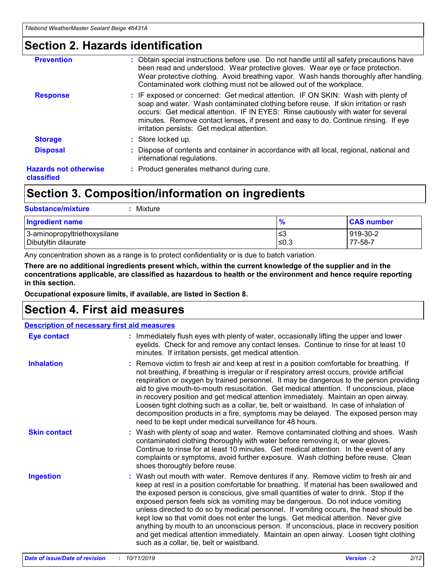### **Section 2. Hazards identification**

| <b>Prevention</b>                          | : Obtain special instructions before use. Do not handle until all safety precautions have<br>been read and understood. Wear protective gloves. Wear eye or face protection.<br>Wear protective clothing. Avoid breathing vapor. Wash hands thoroughly after handling.<br>Contaminated work clothing must not be allowed out of the workplace.                                                        |
|--------------------------------------------|------------------------------------------------------------------------------------------------------------------------------------------------------------------------------------------------------------------------------------------------------------------------------------------------------------------------------------------------------------------------------------------------------|
| <b>Response</b>                            | : IF exposed or concerned: Get medical attention. IF ON SKIN: Wash with plenty of<br>soap and water. Wash contaminated clothing before reuse. If skin irritation or rash<br>occurs: Get medical attention. IF IN EYES: Rinse cautiously with water for several<br>minutes. Remove contact lenses, if present and easy to do. Continue rinsing. If eye<br>irritation persists: Get medical attention. |
| <b>Storage</b>                             | : Store locked up.                                                                                                                                                                                                                                                                                                                                                                                   |
| <b>Disposal</b>                            | : Dispose of contents and container in accordance with all local, regional, national and<br>international regulations.                                                                                                                                                                                                                                                                               |
| <b>Hazards not otherwise</b><br>classified | : Product generates methanol during cure.                                                                                                                                                                                                                                                                                                                                                            |
|                                            |                                                                                                                                                                                                                                                                                                                                                                                                      |

### **Section 3. Composition/information on ingredients**

| <b>Substance/mixture</b><br>Mixture                  |                   |                     |
|------------------------------------------------------|-------------------|---------------------|
| <b>Ingredient name</b>                               | $\frac{9}{6}$     | <b>CAS number</b>   |
| 3-aminopropyltriethoxysilane<br>Dibutyltin dilaurate | l≤3<br>$\leq 0.3$ | 919-30-2<br>77-58-7 |

Any concentration shown as a range is to protect confidentiality or is due to batch variation.

**There are no additional ingredients present which, within the current knowledge of the supplier and in the concentrations applicable, are classified as hazardous to health or the environment and hence require reporting in this section.**

**Occupational exposure limits, if available, are listed in Section 8.**

### **Section 4. First aid measures**

| <b>Description of necessary first aid measures</b> |                                                                                                                                                                                                                                                                                                                                                                                                                                                                                                                                                                                                                                                                                                                                                                           |
|----------------------------------------------------|---------------------------------------------------------------------------------------------------------------------------------------------------------------------------------------------------------------------------------------------------------------------------------------------------------------------------------------------------------------------------------------------------------------------------------------------------------------------------------------------------------------------------------------------------------------------------------------------------------------------------------------------------------------------------------------------------------------------------------------------------------------------------|
| <b>Eye contact</b>                                 | : Immediately flush eyes with plenty of water, occasionally lifting the upper and lower<br>eyelids. Check for and remove any contact lenses. Continue to rinse for at least 10<br>minutes. If irritation persists, get medical attention.                                                                                                                                                                                                                                                                                                                                                                                                                                                                                                                                 |
| <b>Inhalation</b>                                  | : Remove victim to fresh air and keep at rest in a position comfortable for breathing. If<br>not breathing, if breathing is irregular or if respiratory arrest occurs, provide artificial<br>respiration or oxygen by trained personnel. It may be dangerous to the person providing<br>aid to give mouth-to-mouth resuscitation. Get medical attention. If unconscious, place<br>in recovery position and get medical attention immediately. Maintain an open airway.<br>Loosen tight clothing such as a collar, tie, belt or waistband. In case of inhalation of<br>decomposition products in a fire, symptoms may be delayed. The exposed person may<br>need to be kept under medical surveillance for 48 hours.                                                       |
| <b>Skin contact</b>                                | : Wash with plenty of soap and water. Remove contaminated clothing and shoes. Wash<br>contaminated clothing thoroughly with water before removing it, or wear gloves.<br>Continue to rinse for at least 10 minutes. Get medical attention. In the event of any<br>complaints or symptoms, avoid further exposure. Wash clothing before reuse. Clean<br>shoes thoroughly before reuse.                                                                                                                                                                                                                                                                                                                                                                                     |
| <b>Ingestion</b>                                   | : Wash out mouth with water. Remove dentures if any. Remove victim to fresh air and<br>keep at rest in a position comfortable for breathing. If material has been swallowed and<br>the exposed person is conscious, give small quantities of water to drink. Stop if the<br>exposed person feels sick as vomiting may be dangerous. Do not induce vomiting<br>unless directed to do so by medical personnel. If vomiting occurs, the head should be<br>kept low so that vomit does not enter the lungs. Get medical attention. Never give<br>anything by mouth to an unconscious person. If unconscious, place in recovery position<br>and get medical attention immediately. Maintain an open airway. Loosen tight clothing<br>such as a collar, tie, belt or waistband. |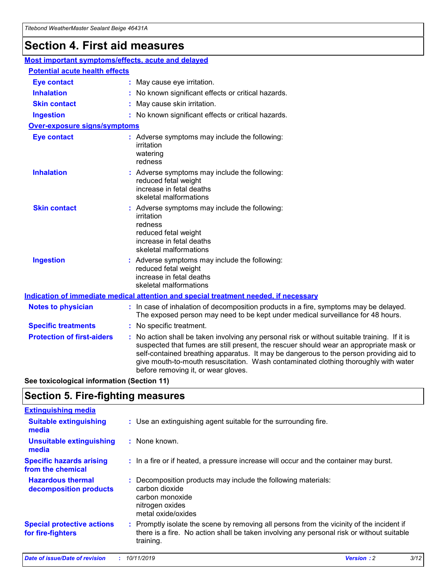## **Section 4. First aid measures**

| Most important symptoms/effects, acute and delayed |  |                                                                                                                                                                                                                                                                                                                                                                                                                 |
|----------------------------------------------------|--|-----------------------------------------------------------------------------------------------------------------------------------------------------------------------------------------------------------------------------------------------------------------------------------------------------------------------------------------------------------------------------------------------------------------|
| <b>Potential acute health effects</b>              |  |                                                                                                                                                                                                                                                                                                                                                                                                                 |
| <b>Eye contact</b>                                 |  | : May cause eye irritation.                                                                                                                                                                                                                                                                                                                                                                                     |
| <b>Inhalation</b>                                  |  | : No known significant effects or critical hazards.                                                                                                                                                                                                                                                                                                                                                             |
| <b>Skin contact</b>                                |  | : May cause skin irritation.                                                                                                                                                                                                                                                                                                                                                                                    |
| <b>Ingestion</b>                                   |  | : No known significant effects or critical hazards.                                                                                                                                                                                                                                                                                                                                                             |
| Over-exposure signs/symptoms                       |  |                                                                                                                                                                                                                                                                                                                                                                                                                 |
| <b>Eye contact</b>                                 |  | : Adverse symptoms may include the following:<br>irritation<br>watering<br>redness                                                                                                                                                                                                                                                                                                                              |
| <b>Inhalation</b>                                  |  | : Adverse symptoms may include the following:<br>reduced fetal weight<br>increase in fetal deaths<br>skeletal malformations                                                                                                                                                                                                                                                                                     |
| <b>Skin contact</b>                                |  | : Adverse symptoms may include the following:<br>irritation<br>redness<br>reduced fetal weight<br>increase in fetal deaths<br>skeletal malformations                                                                                                                                                                                                                                                            |
| <b>Ingestion</b>                                   |  | : Adverse symptoms may include the following:<br>reduced fetal weight<br>increase in fetal deaths<br>skeletal malformations                                                                                                                                                                                                                                                                                     |
|                                                    |  | <b>Indication of immediate medical attention and special treatment needed, if necessary</b>                                                                                                                                                                                                                                                                                                                     |
| <b>Notes to physician</b>                          |  | : In case of inhalation of decomposition products in a fire, symptoms may be delayed.<br>The exposed person may need to be kept under medical surveillance for 48 hours.                                                                                                                                                                                                                                        |
| <b>Specific treatments</b>                         |  | : No specific treatment.                                                                                                                                                                                                                                                                                                                                                                                        |
| <b>Protection of first-aiders</b>                  |  | : No action shall be taken involving any personal risk or without suitable training. If it is<br>suspected that fumes are still present, the rescuer should wear an appropriate mask or<br>self-contained breathing apparatus. It may be dangerous to the person providing aid to<br>give mouth-to-mouth resuscitation. Wash contaminated clothing thoroughly with water<br>before removing it, or wear gloves. |

**See toxicological information (Section 11)**

### **Section 5. Fire-fighting measures**

| <b>Extinguishing media</b>                             |                                                                                                                                                                                                     |
|--------------------------------------------------------|-----------------------------------------------------------------------------------------------------------------------------------------------------------------------------------------------------|
| <b>Suitable extinguishing</b><br>media                 | : Use an extinguishing agent suitable for the surrounding fire.                                                                                                                                     |
| <b>Unsuitable extinguishing</b><br>media               | : None known.                                                                                                                                                                                       |
| <b>Specific hazards arising</b><br>from the chemical   | : In a fire or if heated, a pressure increase will occur and the container may burst.                                                                                                               |
| <b>Hazardous thermal</b><br>decomposition products     | : Decomposition products may include the following materials:<br>carbon dioxide<br>carbon monoxide<br>nitrogen oxides<br>metal oxide/oxides                                                         |
| <b>Special protective actions</b><br>for fire-fighters | : Promptly isolate the scene by removing all persons from the vicinity of the incident if<br>there is a fire. No action shall be taken involving any personal risk or without suitable<br>training. |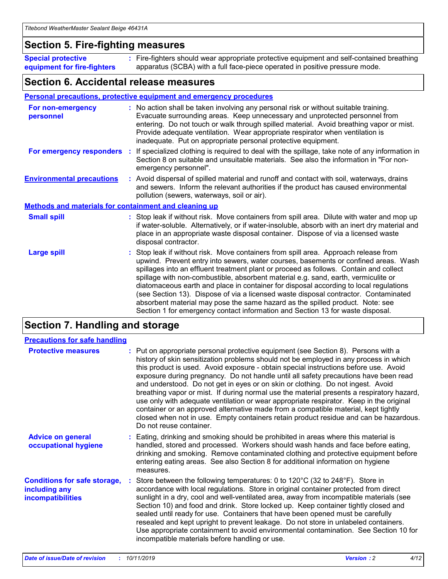### **Section 5. Fire-fighting measures**

**Special protective equipment for fire-fighters** Fire-fighters should wear appropriate protective equipment and self-contained breathing **:** apparatus (SCBA) with a full face-piece operated in positive pressure mode.

### **Section 6. Accidental release measures**

#### **Personal precautions, protective equipment and emergency procedures**

| For non-emergency<br>personnel                               | : No action shall be taken involving any personal risk or without suitable training.<br>Evacuate surrounding areas. Keep unnecessary and unprotected personnel from<br>entering. Do not touch or walk through spilled material. Avoid breathing vapor or mist.<br>Provide adequate ventilation. Wear appropriate respirator when ventilation is<br>inadequate. Put on appropriate personal protective equipment.                                                                                                                                                                                                                                                                                             |
|--------------------------------------------------------------|--------------------------------------------------------------------------------------------------------------------------------------------------------------------------------------------------------------------------------------------------------------------------------------------------------------------------------------------------------------------------------------------------------------------------------------------------------------------------------------------------------------------------------------------------------------------------------------------------------------------------------------------------------------------------------------------------------------|
|                                                              | For emergency responders : If specialized clothing is required to deal with the spillage, take note of any information in<br>Section 8 on suitable and unsuitable materials. See also the information in "For non-<br>emergency personnel".                                                                                                                                                                                                                                                                                                                                                                                                                                                                  |
| <b>Environmental precautions</b>                             | : Avoid dispersal of spilled material and runoff and contact with soil, waterways, drains<br>and sewers. Inform the relevant authorities if the product has caused environmental<br>pollution (sewers, waterways, soil or air).                                                                                                                                                                                                                                                                                                                                                                                                                                                                              |
| <b>Methods and materials for containment and cleaning up</b> |                                                                                                                                                                                                                                                                                                                                                                                                                                                                                                                                                                                                                                                                                                              |
| <b>Small spill</b>                                           | : Stop leak if without risk. Move containers from spill area. Dilute with water and mop up<br>if water-soluble. Alternatively, or if water-insoluble, absorb with an inert dry material and<br>place in an appropriate waste disposal container. Dispose of via a licensed waste<br>disposal contractor.                                                                                                                                                                                                                                                                                                                                                                                                     |
| <b>Large spill</b>                                           | : Stop leak if without risk. Move containers from spill area. Approach release from<br>upwind. Prevent entry into sewers, water courses, basements or confined areas. Wash<br>spillages into an effluent treatment plant or proceed as follows. Contain and collect<br>spillage with non-combustible, absorbent material e.g. sand, earth, vermiculite or<br>diatomaceous earth and place in container for disposal according to local regulations<br>(see Section 13). Dispose of via a licensed waste disposal contractor. Contaminated<br>absorbent material may pose the same hazard as the spilled product. Note: see<br>Section 1 for emergency contact information and Section 13 for waste disposal. |

### **Section 7. Handling and storage**

| <b>Precautions for safe handling</b>                                             |                                                                                                                                                                                                                                                                                                                                                                                                                                                                                                                                                                                                                                                                                                                                                                                                                                                  |
|----------------------------------------------------------------------------------|--------------------------------------------------------------------------------------------------------------------------------------------------------------------------------------------------------------------------------------------------------------------------------------------------------------------------------------------------------------------------------------------------------------------------------------------------------------------------------------------------------------------------------------------------------------------------------------------------------------------------------------------------------------------------------------------------------------------------------------------------------------------------------------------------------------------------------------------------|
| <b>Protective measures</b>                                                       | : Put on appropriate personal protective equipment (see Section 8). Persons with a<br>history of skin sensitization problems should not be employed in any process in which<br>this product is used. Avoid exposure - obtain special instructions before use. Avoid<br>exposure during pregnancy. Do not handle until all safety precautions have been read<br>and understood. Do not get in eyes or on skin or clothing. Do not ingest. Avoid<br>breathing vapor or mist. If during normal use the material presents a respiratory hazard,<br>use only with adequate ventilation or wear appropriate respirator. Keep in the original<br>container or an approved alternative made from a compatible material, kept tightly<br>closed when not in use. Empty containers retain product residue and can be hazardous.<br>Do not reuse container. |
| <b>Advice on general</b><br>occupational hygiene                                 | : Eating, drinking and smoking should be prohibited in areas where this material is<br>handled, stored and processed. Workers should wash hands and face before eating,<br>drinking and smoking. Remove contaminated clothing and protective equipment before<br>entering eating areas. See also Section 8 for additional information on hygiene<br>measures.                                                                                                                                                                                                                                                                                                                                                                                                                                                                                    |
| <b>Conditions for safe storage,</b><br>including any<br><b>incompatibilities</b> | : Store between the following temperatures: 0 to 120 $\degree$ C (32 to 248 $\degree$ F). Store in<br>accordance with local regulations. Store in original container protected from direct<br>sunlight in a dry, cool and well-ventilated area, away from incompatible materials (see<br>Section 10) and food and drink. Store locked up. Keep container tightly closed and<br>sealed until ready for use. Containers that have been opened must be carefully<br>resealed and kept upright to prevent leakage. Do not store in unlabeled containers.<br>Use appropriate containment to avoid environmental contamination. See Section 10 for<br>incompatible materials before handling or use.                                                                                                                                                   |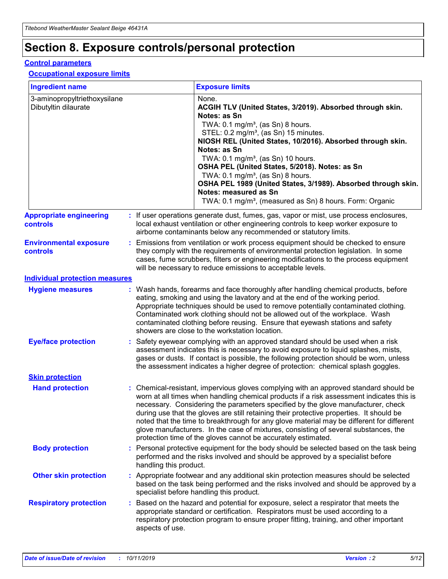## **Section 8. Exposure controls/personal protection**

#### **Control parameters**

#### **Occupational exposure limits**

| <b>Ingredient name</b>                               |    |                        | <b>Exposure limits</b>                                                                                                                                                                                                                                                                                                                                                                                                                                                                                                                                                                                                 |
|------------------------------------------------------|----|------------------------|------------------------------------------------------------------------------------------------------------------------------------------------------------------------------------------------------------------------------------------------------------------------------------------------------------------------------------------------------------------------------------------------------------------------------------------------------------------------------------------------------------------------------------------------------------------------------------------------------------------------|
| 3-aminopropyltriethoxysilane<br>Dibutyltin dilaurate |    |                        | None.<br>ACGIH TLV (United States, 3/2019). Absorbed through skin.<br>Notes: as Sn<br>TWA: $0.1 \text{ mg/m}^3$ , (as Sn) 8 hours.<br>STEL: 0.2 mg/m <sup>3</sup> , (as Sn) 15 minutes.<br>NIOSH REL (United States, 10/2016). Absorbed through skin.<br>Notes: as Sn<br>TWA: 0.1 mg/m <sup>3</sup> , (as Sn) 10 hours.<br>OSHA PEL (United States, 5/2018). Notes: as Sn<br>TWA: 0.1 mg/m <sup>3</sup> , (as Sn) 8 hours.<br>OSHA PEL 1989 (United States, 3/1989). Absorbed through skin.<br>Notes: measured as Sn<br>TWA: 0.1 mg/m <sup>3</sup> , (measured as Sn) 8 hours. Form: Organic                           |
| <b>Appropriate engineering</b><br>controls           |    |                        | : If user operations generate dust, fumes, gas, vapor or mist, use process enclosures,<br>local exhaust ventilation or other engineering controls to keep worker exposure to<br>airborne contaminants below any recommended or statutory limits.                                                                                                                                                                                                                                                                                                                                                                       |
| <b>Environmental exposure</b><br>controls            |    |                        | Emissions from ventilation or work process equipment should be checked to ensure<br>they comply with the requirements of environmental protection legislation. In some<br>cases, fume scrubbers, filters or engineering modifications to the process equipment<br>will be necessary to reduce emissions to acceptable levels.                                                                                                                                                                                                                                                                                          |
| <b>Individual protection measures</b>                |    |                        |                                                                                                                                                                                                                                                                                                                                                                                                                                                                                                                                                                                                                        |
| <b>Hygiene measures</b>                              |    |                        | : Wash hands, forearms and face thoroughly after handling chemical products, before<br>eating, smoking and using the lavatory and at the end of the working period.<br>Appropriate techniques should be used to remove potentially contaminated clothing.<br>Contaminated work clothing should not be allowed out of the workplace. Wash<br>contaminated clothing before reusing. Ensure that eyewash stations and safety<br>showers are close to the workstation location.                                                                                                                                            |
| <b>Eye/face protection</b>                           |    |                        | Safety eyewear complying with an approved standard should be used when a risk<br>assessment indicates this is necessary to avoid exposure to liquid splashes, mists,<br>gases or dusts. If contact is possible, the following protection should be worn, unless<br>the assessment indicates a higher degree of protection: chemical splash goggles.                                                                                                                                                                                                                                                                    |
| <b>Skin protection</b>                               |    |                        |                                                                                                                                                                                                                                                                                                                                                                                                                                                                                                                                                                                                                        |
| <b>Hand protection</b>                               |    |                        | : Chemical-resistant, impervious gloves complying with an approved standard should be<br>worn at all times when handling chemical products if a risk assessment indicates this is<br>necessary. Considering the parameters specified by the glove manufacturer, check<br>during use that the gloves are still retaining their protective properties. It should be<br>noted that the time to breakthrough for any glove material may be different for different<br>glove manufacturers. In the case of mixtures, consisting of several substances, the<br>protection time of the gloves cannot be accurately estimated. |
| <b>Body protection</b>                               |    | handling this product. | Personal protective equipment for the body should be selected based on the task being<br>performed and the risks involved and should be approved by a specialist before                                                                                                                                                                                                                                                                                                                                                                                                                                                |
| <b>Other skin protection</b>                         |    |                        | : Appropriate footwear and any additional skin protection measures should be selected<br>based on the task being performed and the risks involved and should be approved by a<br>specialist before handling this product.                                                                                                                                                                                                                                                                                                                                                                                              |
| <b>Respiratory protection</b>                        | ÷. | aspects of use.        | Based on the hazard and potential for exposure, select a respirator that meets the<br>appropriate standard or certification. Respirators must be used according to a<br>respiratory protection program to ensure proper fitting, training, and other important                                                                                                                                                                                                                                                                                                                                                         |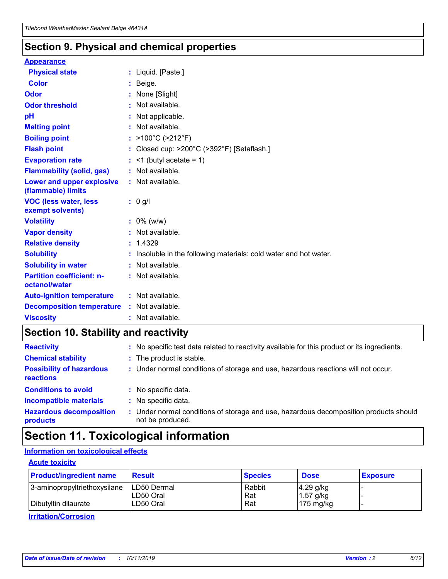### **Section 9. Physical and chemical properties**

#### **Appearance**

| <b>Physical state</b>                                  | : Liquid. [Paste.]                                              |
|--------------------------------------------------------|-----------------------------------------------------------------|
| <b>Color</b>                                           | Beige.                                                          |
| Odor                                                   | None [Slight]                                                   |
| <b>Odor threshold</b>                                  | $:$ Not available.                                              |
| рH                                                     | : Not applicable.                                               |
| <b>Melting point</b>                                   | : Not available.                                                |
| <b>Boiling point</b>                                   | : >100°C (>212°F)                                               |
| <b>Flash point</b>                                     | : Closed cup: >200°C (>392°F) [Setaflash.]                      |
| <b>Evaporation rate</b>                                | $:$ <1 (butyl acetate = 1)                                      |
| <b>Flammability (solid, gas)</b>                       | : Not available.                                                |
| <b>Lower and upper explosive</b><br>(flammable) limits | : Not available.                                                |
| <b>VOC (less water, less</b><br>exempt solvents)       | $: 0$ g/l                                                       |
| <b>Volatility</b>                                      | $: 0\%$ (w/w)                                                   |
| <b>Vapor density</b>                                   | : Not available.                                                |
| <b>Relative density</b>                                | : 1.4329                                                        |
| <b>Solubility</b>                                      | Insoluble in the following materials: cold water and hot water. |
| <b>Solubility in water</b>                             | : Not available.                                                |
| <b>Partition coefficient: n-</b><br>octanol/water      | : Not available.                                                |
|                                                        |                                                                 |
| <b>Auto-ignition temperature</b>                       | : Not available.                                                |
| <b>Decomposition temperature</b>                       | : Not available.                                                |

### **Section 10. Stability and reactivity**

| <b>Reactivity</b>                            |    | : No specific test data related to reactivity available for this product or its ingredients.            |
|----------------------------------------------|----|---------------------------------------------------------------------------------------------------------|
| <b>Chemical stability</b>                    |    | : The product is stable.                                                                                |
| <b>Possibility of hazardous</b><br>reactions |    | : Under normal conditions of storage and use, hazardous reactions will not occur.                       |
| <b>Conditions to avoid</b>                   |    | : No specific data.                                                                                     |
| <b>Incompatible materials</b>                | ÷. | No specific data.                                                                                       |
| <b>Hazardous decomposition</b><br>products   |    | Under normal conditions of storage and use, hazardous decomposition products should<br>not be produced. |

## **Section 11. Toxicological information**

#### **Information on toxicological effects**

#### **Acute toxicity**

| <b>Product/ingredient name</b> | <b>Result</b>           | <b>Species</b> | <b>Dose</b>                | <b>Exposure</b> |
|--------------------------------|-------------------------|----------------|----------------------------|-----------------|
| 3-aminopropyltriethoxysilane   | <b>ILD50 Dermal</b>     | Rabbit         | 4.29 g/kg                  |                 |
| Dibutyltin dilaurate           | ILD50 Oral<br>LD50 Oral | Rat<br>Rat     | $1.57$ g/kg<br>175 $mg/kg$ |                 |
|                                |                         |                |                            |                 |

**Irritation/Corrosion**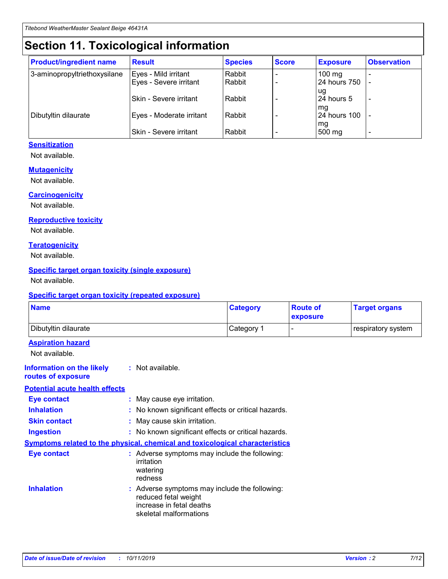## **Section 11. Toxicological information**

| <b>Product/ingredient name</b> | <b>Result</b>            | <b>Species</b> | <b>Score</b> | <b>Exposure</b>           | <b>Observation</b> |
|--------------------------------|--------------------------|----------------|--------------|---------------------------|--------------------|
| 3-aminopropyltriethoxysilane   | Eyes - Mild irritant     | Rabbit         |              | $100$ mg                  |                    |
|                                | Eyes - Severe irritant   | Rabbit         |              | 24 hours 750              |                    |
|                                |                          |                |              | ug                        |                    |
|                                | Skin - Severe irritant   | Rabbit         |              | 24 hours 5                | -                  |
| Dibutyltin dilaurate           | Eyes - Moderate irritant | Rabbit         |              | mq<br><b>24 hours 100</b> |                    |
|                                |                          |                |              | mg                        |                    |
|                                | Skin - Severe irritant   | Rabbit         |              | 500 mg                    |                    |

#### **Sensitization**

Not available.

#### **Mutagenicity**

Not available.

#### **Carcinogenicity**

Not available.

#### **Reproductive toxicity**

Not available.

#### **Teratogenicity**

Not available.

#### **Specific target organ toxicity (single exposure)**

Not available.

#### **Specific target organ toxicity (repeated exposure)**

| <b>Name</b>                                                                  |                                                                                                                             | <b>Category</b> | <b>Route of</b><br>exposure  | <b>Target organs</b> |
|------------------------------------------------------------------------------|-----------------------------------------------------------------------------------------------------------------------------|-----------------|------------------------------|----------------------|
| Dibutyltin dilaurate                                                         |                                                                                                                             | Category 1      | $\qquad \qquad \blacksquare$ | respiratory system   |
| <b>Aspiration hazard</b><br>Not available.                                   |                                                                                                                             |                 |                              |                      |
| <b>Information on the likely</b><br>routes of exposure                       | : Not available.                                                                                                            |                 |                              |                      |
| <b>Potential acute health effects</b>                                        |                                                                                                                             |                 |                              |                      |
| <b>Eye contact</b>                                                           | : May cause eye irritation.                                                                                                 |                 |                              |                      |
| <b>Inhalation</b>                                                            | : No known significant effects or critical hazards.                                                                         |                 |                              |                      |
| <b>Skin contact</b>                                                          | : May cause skin irritation.                                                                                                |                 |                              |                      |
| <b>Ingestion</b>                                                             | : No known significant effects or critical hazards.                                                                         |                 |                              |                      |
| Symptoms related to the physical, chemical and toxicological characteristics |                                                                                                                             |                 |                              |                      |
| <b>Eye contact</b>                                                           | : Adverse symptoms may include the following:<br>irritation<br>watering<br>redness                                          |                 |                              |                      |
| <b>Inhalation</b>                                                            | : Adverse symptoms may include the following:<br>reduced fetal weight<br>increase in fetal deaths<br>skeletal malformations |                 |                              |                      |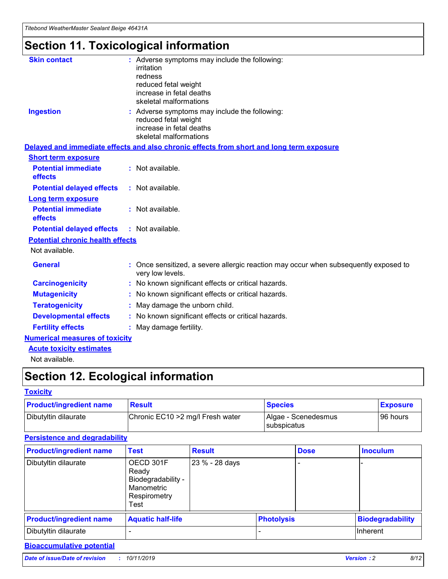## **Section 11. Toxicological information**

| <b>Skin contact</b>                     | : Adverse symptoms may include the following:                                                            |
|-----------------------------------------|----------------------------------------------------------------------------------------------------------|
|                                         | irritation                                                                                               |
|                                         | redness                                                                                                  |
|                                         | reduced fetal weight                                                                                     |
|                                         | increase in fetal deaths                                                                                 |
|                                         | skeletal malformations                                                                                   |
| <b>Ingestion</b>                        | : Adverse symptoms may include the following:                                                            |
|                                         | reduced fetal weight                                                                                     |
|                                         | increase in fetal deaths                                                                                 |
|                                         | skeletal malformations                                                                                   |
|                                         | Delayed and immediate effects and also chronic effects from short and long term exposure                 |
| <b>Short term exposure</b>              |                                                                                                          |
| <b>Potential immediate</b>              | : Not available.                                                                                         |
| effects                                 |                                                                                                          |
| <b>Potential delayed effects</b>        | : Not available.                                                                                         |
| Long term exposure                      |                                                                                                          |
| <b>Potential immediate</b>              | : Not available.                                                                                         |
| effects                                 |                                                                                                          |
| <b>Potential delayed effects</b>        | : Not available.                                                                                         |
| <b>Potential chronic health effects</b> |                                                                                                          |
| Not available.                          |                                                                                                          |
| <b>General</b>                          | : Once sensitized, a severe allergic reaction may occur when subsequently exposed to<br>very low levels. |
| <b>Carcinogenicity</b>                  | : No known significant effects or critical hazards.                                                      |
| <b>Mutagenicity</b>                     | : No known significant effects or critical hazards.                                                      |
| <b>Teratogenicity</b>                   | May damage the unborn child.                                                                             |
| <b>Developmental effects</b>            | : No known significant effects or critical hazards.                                                      |
| <b>Fertility effects</b>                | May damage fertility.                                                                                    |
| <b>Numerical measures of toxicity</b>   |                                                                                                          |
| <b>Acute toxicity estimates</b>         |                                                                                                          |
| الملحلة والمستحيط والمسالم              |                                                                                                          |

Not available.

## **Section 12. Ecological information**

#### **Toxicity**

| <b>Product/ingredient name</b> | <b>Result</b>                     | <b>Species</b>                       | <b>Exposure</b> |
|--------------------------------|-----------------------------------|--------------------------------------|-----------------|
| Dibutyltin dilaurate           | Chronic EC10 > 2 mg/l Fresh water | Algae - Scenedesmus<br>I subspicatus | l 96 hours      |

### **Persistence and degradability**

| <b>Product/ingredient name</b> | <b>Test</b>                                                                    | <b>Result</b>  |                   | <b>Dose</b> | <b>Inoculum</b>         |
|--------------------------------|--------------------------------------------------------------------------------|----------------|-------------------|-------------|-------------------------|
| Dibutyltin dilaurate           | OECD 301F<br>Ready<br>Biodegradability -<br>Manometric<br>Respirometry<br>Test | 23 % - 28 days |                   |             |                         |
| <b>Product/ingredient name</b> | <b>Aquatic half-life</b>                                                       |                | <b>Photolysis</b> |             | <b>Biodegradability</b> |
| Dibutyltin dilaurate           |                                                                                |                |                   |             | Inherent                |

#### **Bioaccumulative potential**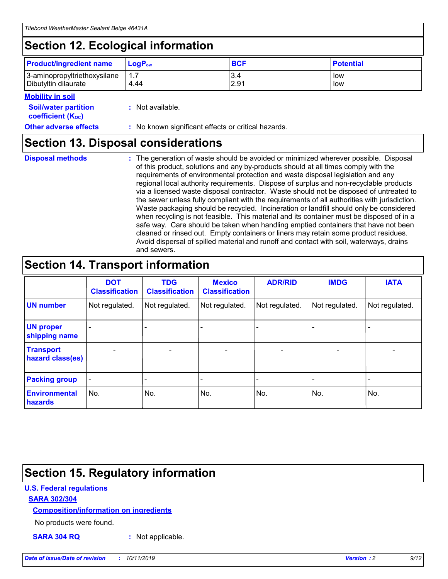## **Section 12. Ecological information**

| <b>Product/ingredient name</b> | $LoaPow$ | <b>BCF</b> | <b>Potential</b> |
|--------------------------------|----------|------------|------------------|
| 3-aminopropyltriethoxysilane   | 1.7      | 3.4        | low              |
| Dibutyltin dilaurate           | 4.44     | 2.91       | low              |

#### **Mobility in soil**

| <i></i>                                                       |                                                     |
|---------------------------------------------------------------|-----------------------------------------------------|
| <b>Soil/water partition</b><br>coefficient (K <sub>oc</sub> ) | : Not available.                                    |
| <b>Other adverse effects</b>                                  | : No known significant effects or critical hazards. |

### **Section 13. Disposal considerations**

**Disposal methods :**

The generation of waste should be avoided or minimized wherever possible. Disposal of this product, solutions and any by-products should at all times comply with the requirements of environmental protection and waste disposal legislation and any regional local authority requirements. Dispose of surplus and non-recyclable products via a licensed waste disposal contractor. Waste should not be disposed of untreated to the sewer unless fully compliant with the requirements of all authorities with jurisdiction. Waste packaging should be recycled. Incineration or landfill should only be considered when recycling is not feasible. This material and its container must be disposed of in a safe way. Care should be taken when handling emptied containers that have not been cleaned or rinsed out. Empty containers or liners may retain some product residues. Avoid dispersal of spilled material and runoff and contact with soil, waterways, drains and sewers.

## **Section 14. Transport information**

|                                      | <b>DOT</b><br><b>Classification</b> | <b>TDG</b><br><b>Classification</b> | <b>Mexico</b><br><b>Classification</b> | <b>ADR/RID</b>               | <b>IMDG</b>    | <b>IATA</b>              |
|--------------------------------------|-------------------------------------|-------------------------------------|----------------------------------------|------------------------------|----------------|--------------------------|
| <b>UN number</b>                     | Not regulated.                      | Not regulated.                      | Not regulated.                         | Not regulated.               | Not regulated. | Not regulated.           |
| <b>UN proper</b><br>shipping name    |                                     |                                     |                                        |                              |                |                          |
| <b>Transport</b><br>hazard class(es) | $\blacksquare$                      | $\overline{\phantom{0}}$            | $\overline{\phantom{a}}$               | $\qquad \qquad \blacksquare$ | $\blacksquare$ | $\overline{\phantom{0}}$ |
| <b>Packing group</b>                 | $\overline{\phantom{a}}$            | -                                   |                                        | -                            |                | -                        |
| <b>Environmental</b><br>hazards      | No.                                 | No.                                 | No.                                    | No.                          | No.            | No.                      |

## **Section 15. Regulatory information**

#### **U.S. Federal regulations**

#### **SARA 302/304**

#### **Composition/information on ingredients**

No products were found.

**SARA 304 RQ :** Not applicable.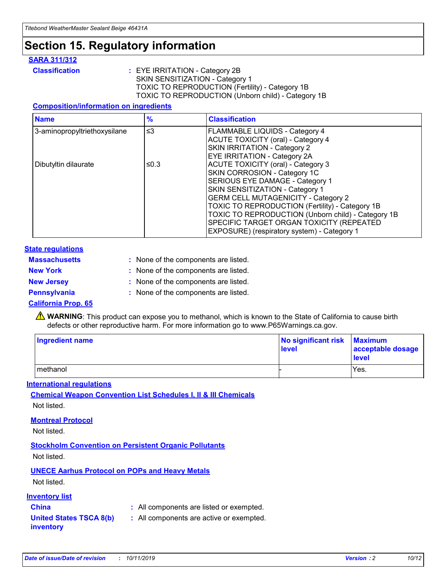## **Section 15. Regulatory information**

#### **SARA 311/312**

**Classification :** EYE IRRITATION - Category 2B SKIN SENSITIZATION - Category 1 TOXIC TO REPRODUCTION (Fertility) - Category 1B TOXIC TO REPRODUCTION (Unborn child) - Category 1B

#### **Composition/information on ingredients**

| <b>Name</b>                  | $\frac{9}{6}$ | <b>Classification</b>                                                                                            |
|------------------------------|---------------|------------------------------------------------------------------------------------------------------------------|
| 3-aminopropyltriethoxysilane | $\leq$ 3      | <b>FLAMMABLE LIQUIDS - Category 4</b><br><b>ACUTE TOXICITY (oral) - Category 4</b>                               |
|                              |               | SKIN IRRITATION - Category 2<br>EYE IRRITATION - Category 2A                                                     |
| Dibutyltin dilaurate         | ≤0.3          | ACUTE TOXICITY (oral) - Category 3<br>SKIN CORROSION - Category 1C                                               |
|                              |               | SERIOUS EYE DAMAGE - Category 1<br>SKIN SENSITIZATION - Category 1<br><b>GERM CELL MUTAGENICITY - Category 2</b> |
|                              |               | TOXIC TO REPRODUCTION (Fertility) - Category 1B<br>TOXIC TO REPRODUCTION (Unborn child) - Category 1B            |
|                              |               | SPECIFIC TARGET ORGAN TOXICITY (REPEATED<br>EXPOSURE) (respiratory system) - Category 1                          |

#### **State regulations**

| <b>Massachusetts</b> | : None of the components are listed. |
|----------------------|--------------------------------------|
| <b>New York</b>      | : None of the components are listed. |
| <b>New Jersey</b>    | : None of the components are listed. |
| <b>Pennsylvania</b>  | : None of the components are listed. |

#### **California Prop. 65**

**A** WARNING: This product can expose you to methanol, which is known to the State of California to cause birth defects or other reproductive harm. For more information go to www.P65Warnings.ca.gov.

| <b>Ingredient name</b> | No significant risk Maximum<br>level | acceptable dosage<br>level |
|------------------------|--------------------------------------|----------------------------|
| methanol               |                                      | Yes.                       |

#### **International regulations**

**Chemical Weapon Convention List Schedules I, II & III Chemicals** Not listed.

#### **Montreal Protocol**

Not listed.

#### **Stockholm Convention on Persistent Organic Pollutants**

Not listed.

#### **UNECE Aarhus Protocol on POPs and Heavy Metals**

Not listed.

#### **Inventory list**

### **China :** All components are listed or exempted.

**United States TSCA 8(b) inventory :** All components are active or exempted.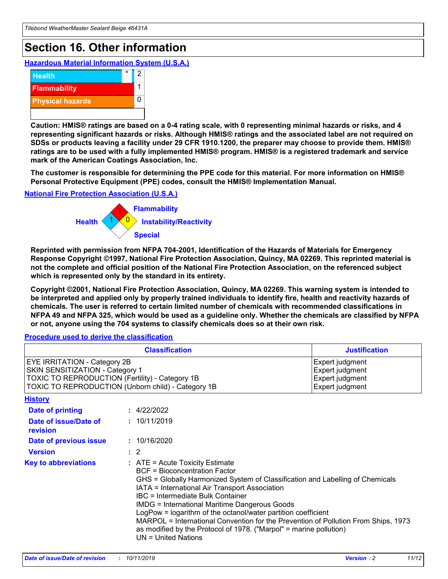## **Section 16. Other information**

**Hazardous Material Information System (U.S.A.)**



**Caution: HMIS® ratings are based on a 0-4 rating scale, with 0 representing minimal hazards or risks, and 4 representing significant hazards or risks. Although HMIS® ratings and the associated label are not required on SDSs or products leaving a facility under 29 CFR 1910.1200, the preparer may choose to provide them. HMIS® ratings are to be used with a fully implemented HMIS® program. HMIS® is a registered trademark and service mark of the American Coatings Association, Inc.**

**The customer is responsible for determining the PPE code for this material. For more information on HMIS® Personal Protective Equipment (PPE) codes, consult the HMIS® Implementation Manual.**

#### **National Fire Protection Association (U.S.A.)**



**Reprinted with permission from NFPA 704-2001, Identification of the Hazards of Materials for Emergency Response Copyright ©1997, National Fire Protection Association, Quincy, MA 02269. This reprinted material is not the complete and official position of the National Fire Protection Association, on the referenced subject which is represented only by the standard in its entirety.**

**Copyright ©2001, National Fire Protection Association, Quincy, MA 02269. This warning system is intended to be interpreted and applied only by properly trained individuals to identify fire, health and reactivity hazards of chemicals. The user is referred to certain limited number of chemicals with recommended classifications in NFPA 49 and NFPA 325, which would be used as a guideline only. Whether the chemicals are classified by NFPA or not, anyone using the 704 systems to classify chemicals does so at their own risk.**

**Procedure used to derive the classification**

| <b>Classification</b>                                                                                                                                                    |                                                                                                                                                  | <b>Justification</b>                                                                                                                                                                                                                                                                                                                                                                                                 |  |
|--------------------------------------------------------------------------------------------------------------------------------------------------------------------------|--------------------------------------------------------------------------------------------------------------------------------------------------|----------------------------------------------------------------------------------------------------------------------------------------------------------------------------------------------------------------------------------------------------------------------------------------------------------------------------------------------------------------------------------------------------------------------|--|
| EYE IRRITATION - Category 2B<br>SKIN SENSITIZATION - Category 1<br>TOXIC TO REPRODUCTION (Fertility) - Category 1B<br>TOXIC TO REPRODUCTION (Unborn child) - Category 1B |                                                                                                                                                  | Expert judgment<br>Expert judgment<br>Expert judgment<br>Expert judgment                                                                                                                                                                                                                                                                                                                                             |  |
| <b>History</b>                                                                                                                                                           |                                                                                                                                                  |                                                                                                                                                                                                                                                                                                                                                                                                                      |  |
| Date of printing                                                                                                                                                         | : 4/22/2022                                                                                                                                      |                                                                                                                                                                                                                                                                                                                                                                                                                      |  |
| Date of issue/Date of<br>revision                                                                                                                                        | : 10/11/2019                                                                                                                                     |                                                                                                                                                                                                                                                                                                                                                                                                                      |  |
| Date of previous issue                                                                                                                                                   | : 10/16/2020                                                                                                                                     |                                                                                                                                                                                                                                                                                                                                                                                                                      |  |
| <b>Version</b>                                                                                                                                                           | $\therefore$ 2                                                                                                                                   |                                                                                                                                                                                                                                                                                                                                                                                                                      |  |
| <b>Key to abbreviations</b>                                                                                                                                              | $\therefore$ ATE = Acute Toxicity Estimate<br><b>BCF</b> = Bioconcentration Factor<br>IBC = Intermediate Bulk Container<br>$UN = United Nations$ | GHS = Globally Harmonized System of Classification and Labelling of Chemicals<br>IATA = International Air Transport Association<br><b>IMDG = International Maritime Dangerous Goods</b><br>LogPow = logarithm of the octanol/water partition coefficient<br>MARPOL = International Convention for the Prevention of Pollution From Ships, 1973<br>as modified by the Protocol of 1978. ("Marpol" = marine pollution) |  |